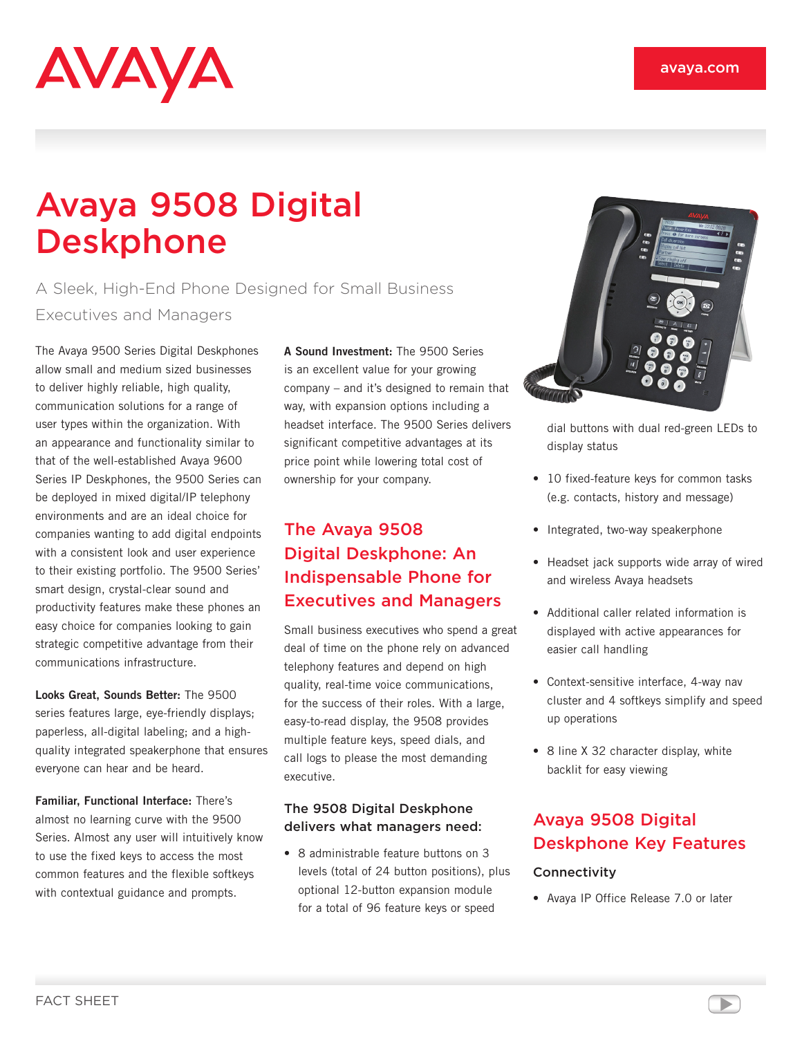# AVAYA

# Avaya 9508 Digital Deskphone

A Sleek, High-End Phone Designed for Small Business Executives and Managers

The Avaya 9500 Series Digital Deskphones allow small and medium sized businesses to deliver highly reliable, high quality, communication solutions for a range of user types within the organization. With an appearance and functionality similar to that of the well-established Avaya 9600 Series IP Deskphones, the 9500 Series can be deployed in mixed digital/IP telephony environments and are an ideal choice for companies wanting to add digital endpoints with a consistent look and user experience to their existing portfolio. The 9500 Series' smart design, crystal-clear sound and productivity features make these phones an easy choice for companies looking to gain strategic competitive advantage from their communications infrastructure.

**Looks Great, Sounds Better:** The 9500 series features large, eye-friendly displays; paperless, all-digital labeling; and a highquality integrated speakerphone that ensures everyone can hear and be heard.

**Familiar, Functional Interface:** There's almost no learning curve with the 9500 Series. Almost any user will intuitively know to use the fixed keys to access the most common features and the flexible softkeys with contextual guidance and prompts.

**A Sound Investment:** The 9500 Series is an excellent value for your growing company – and it's designed to remain that way, with expansion options including a headset interface. The 9500 Series delivers significant competitive advantages at its price point while lowering total cost of ownership for your company.

# The Avaya 9508 Digital Deskphone: An Indispensable Phone for Executives and Managers

Small business executives who spend a great deal of time on the phone rely on advanced telephony features and depend on high quality, real-time voice communications, for the success of their roles. With a large, easy-to-read display, the 9508 provides multiple feature keys, speed dials, and call logs to please the most demanding executive.

#### The 9508 Digital Deskphone delivers what managers need:

• 8 administrable feature buttons on 3 levels (total of 24 button positions), plus optional 12-button expansion module for a total of 96 feature keys or speed



dial buttons with dual red-green LEDs to display status

- 10 fixed-feature keys for common tasks (e.g. contacts, history and message)
- Integrated, two-way speakerphone
- Headset jack supports wide array of wired and wireless Avaya headsets
- Additional caller related information is displayed with active appearances for easier call handling
- Context-sensitive interface, 4-way nav cluster and 4 softkeys simplify and speed up operations
- 8 line X 32 character display, white backlit for easy viewing

# Avaya 9508 Digital Deskphone Key Features

#### **Connectivity**

• Avaya IP Office Release 7.0 or later